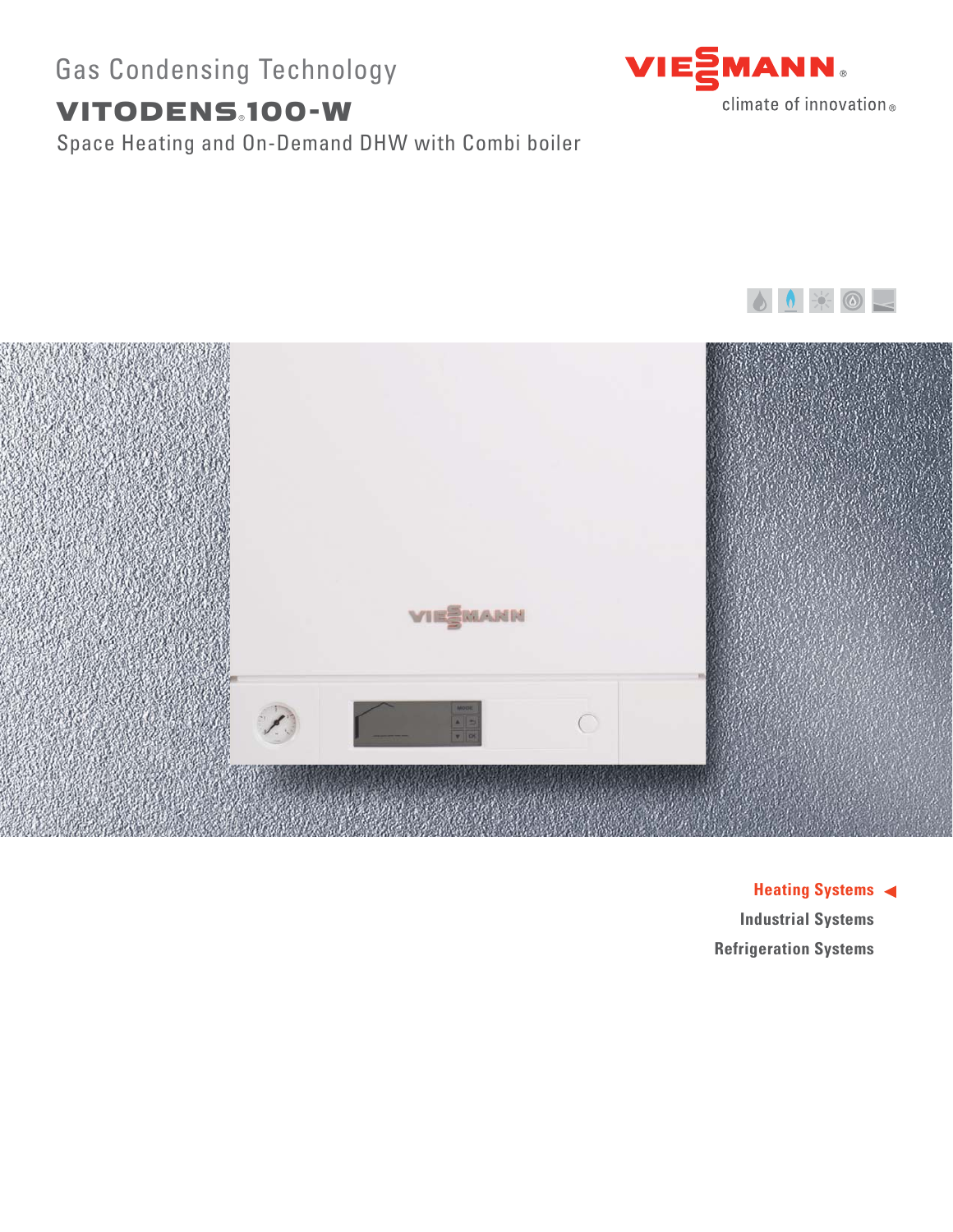# Gas Condensing Technology

# VITODENS.100-W

Space Heating and On-Demand DHW with Combi boiler







**Heating Systems Industrial Systems Refrigeration Systems**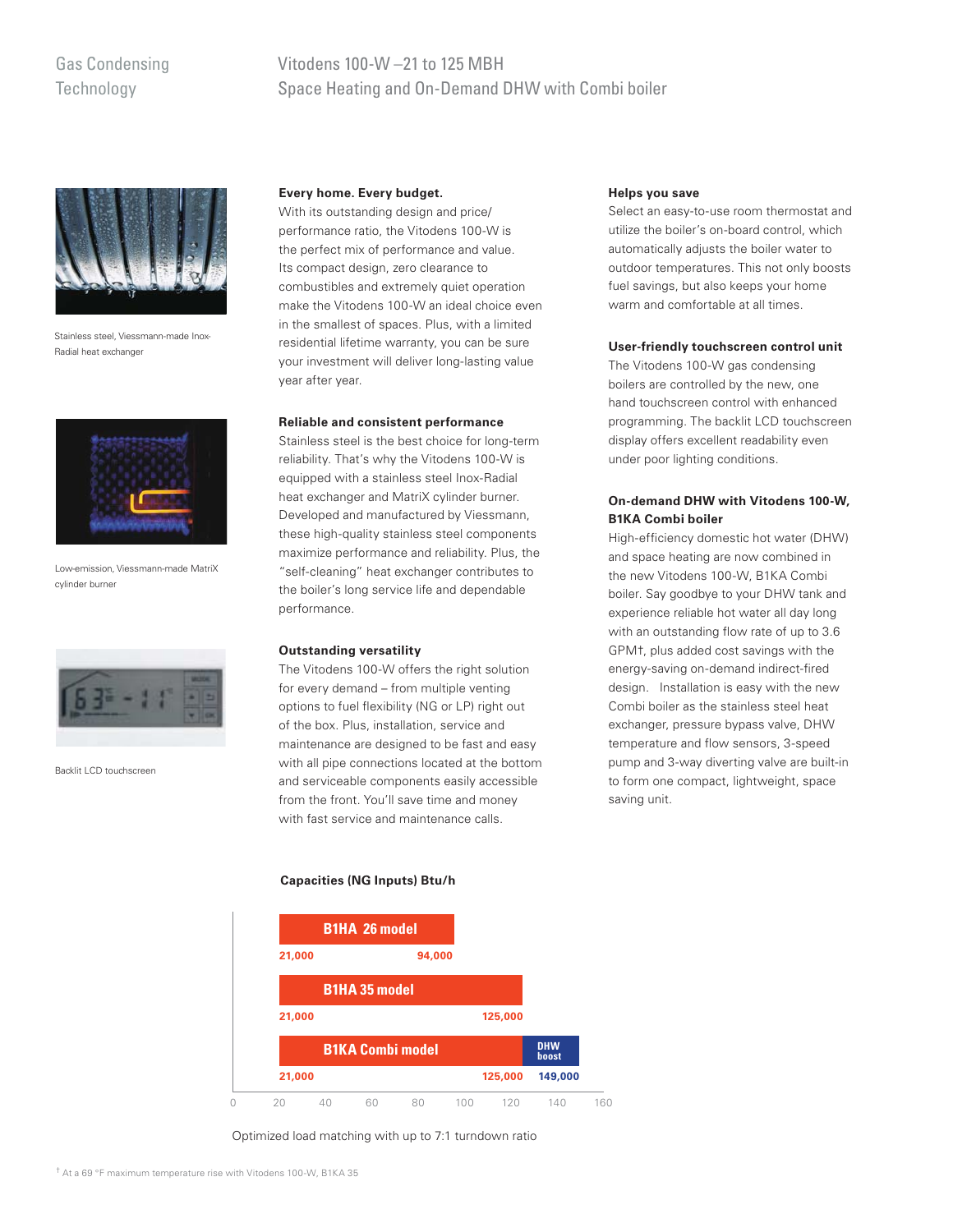# Gas Condensing **Technology**

# Vitodens 100-W –21 to 125 MBH Space Heating and On-Demand DHW with Combi boiler



Stainless steel, Viessmann-made Inox-Radial heat exchanger



Low-emission, Viessmann-made MatriX cylinder burner



Backlit LCD touchscreen

## **Every home. Every budget.**

With its outstanding design and price/ performance ratio, the Vitodens 100-W is the perfect mix of performance and value. Its compact design, zero clearance to combustibles and extremely quiet operation make the Vitodens 100-W an ideal choice even in the smallest of spaces. Plus, with a limited residential lifetime warranty, you can be sure your investment will deliver long-lasting value year after year.

#### **Reliable and consistent performance**

Stainless steel is the best choice for long-term reliability. That's why the Vitodens 100-W is equipped with a stainless steel Inox-Radial heat exchanger and MatriX cylinder burner. Developed and manufactured by Viessmann, these high-quality stainless steel components maximize performance and reliability. Plus, the "self-cleaning" heat exchanger contributes to the boiler's long service life and dependable performance.

## **Outstanding versatility**

The Vitodens 100-W offers the right solution for every demand – from multiple venting options to fuel flexibility (NG or LP) right out of the box. Plus, installation, service and maintenance are designed to be fast and easy with all pipe connections located at the bottom and serviceable components easily accessible from the front. You'll save time and money with fast service and maintenance calls.

## **Capacities (NG Inputs) Btu/h**



Optimized load matching with up to 7:1 turndown ratio

#### **Helps you save**

Select an easy-to-use room thermostat and utilize the boiler's on-board control, which automatically adjusts the boiler water to outdoor temperatures. This not only boosts fuel savings, but also keeps your home warm and comfortable at all times.

#### **User-friendly touchscreen control unit**

The Vitodens 100-W gas condensing boilers are controlled by the new, one hand touchscreen control with enhanced programming. The backlit LCD touchscreen display offers excellent readability even under poor lighting conditions.

## **On-demand DHW with Vitodens 100-W, B1KA Combi boiler**

High-efficiency domestic hot water (DHW) and space heating are now combined in the new Vitodens 100-W, B1KA Combi boiler. Say goodbye to your DHW tank and experience reliable hot water all day long with an outstanding flow rate of up to 3.6 GPM†, plus added cost savings with the energy-saving on-demand indirect-fired design. Installation is easy with the new Combi boiler as the stainless steel heat exchanger, pressure bypass valve, DHW temperature and flow sensors, 3-speed pump and 3-way diverting valve are built-in to form one compact, lightweight, space saving unit.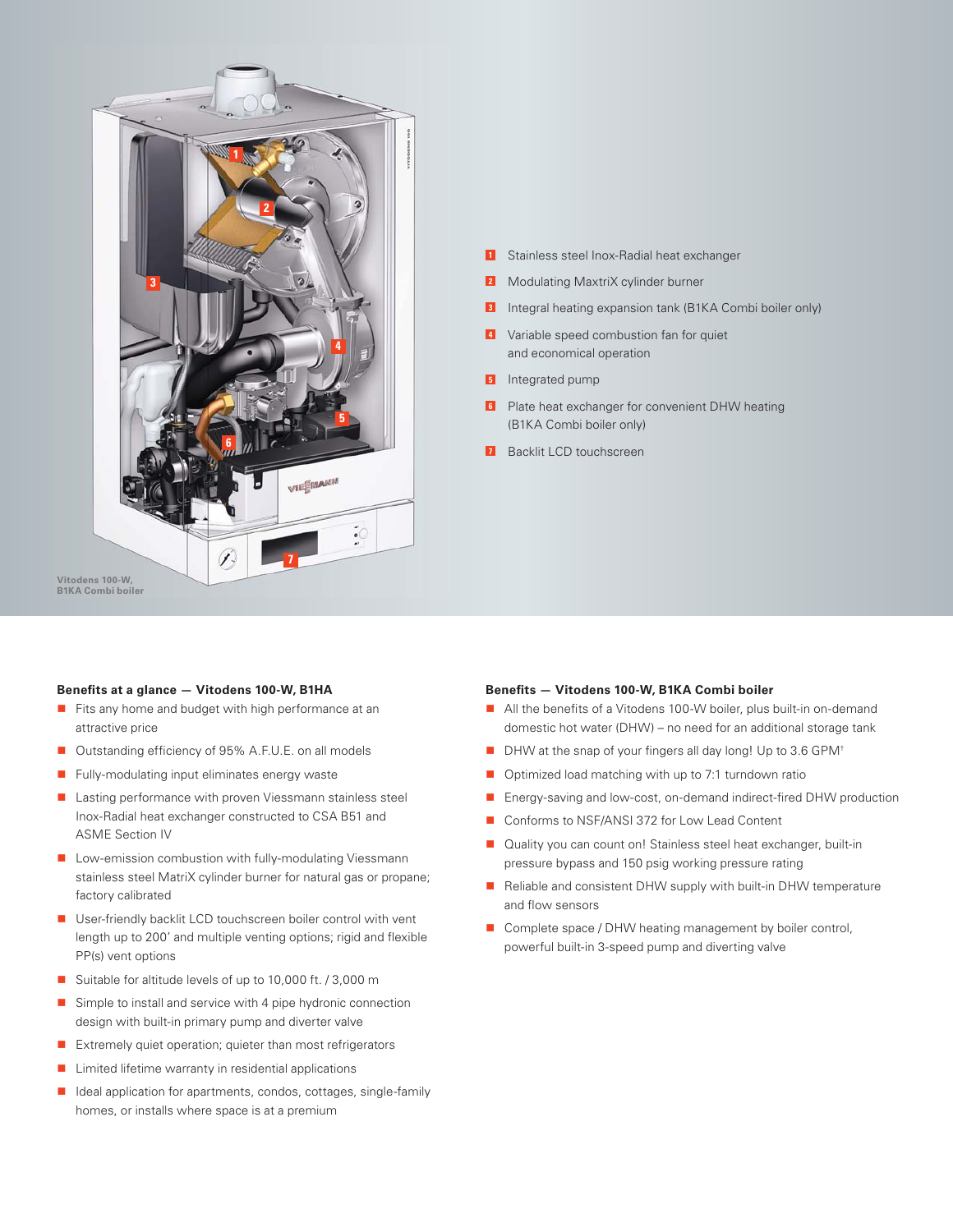

- Stainless steel Inox-Radial heat exchanger **1**
- 2 Modulating MaxtriX cylinder burner
- **3** Integral heating expansion tank (B1KA Combi boiler only)
- Variable speed combustion fan for quiet **4** and economical operation
- **5** Integrated pump
- **6** Plate heat exchanger for convenient DHW heating (B1KA Combi boiler only)
- **7** Backlit LCD touchscreen

**B1KA Combi boiler**

### **Benefits at a glance — Vitodens 100-W, B1HA**

- Fits any home and budget with high performance at an attractive price
- Outstanding efficiency of 95% A.F.U.E. on all models
- -Fully-modulating input eliminates energy waste
- Lasting performance with proven Viessmann stainless steel Inox-Radial heat exchanger constructed to CSA B51 and ASME Section IV
- **Low-emission combustion with fully-modulating Viessmann** stainless steel MatriX cylinder burner for natural gas or propane; factory calibrated
- User-friendly backlit LCD touchscreen boiler control with vent length up to 200' and multiple venting options; rigid and flexible PP(s) vent options
- Suitable for altitude levels of up to 10,000 ft. / 3,000 m
- - Simple to install and service with 4 pipe hydronic connection design with built-in primary pump and diverter valve
- Extremely quiet operation; quieter than most refrigerators
- -Limited lifetime warranty in residential applications
- Ideal application for apartments, condos, cottages, single-family homes, or installs where space is at a premium

#### **Benefits — Vitodens 100-W, B1KA Combi boiler**

- All the benefits of a Vitodens 100-W boiler, plus built-in on-demand domestic hot water (DHW) – no need for an additional storage tank
- DHW at the snap of your fingers all day long! Up to 3.6 GPM<sup>+</sup>
- Optimized load matching with up to 7:1 turndown ratio
- Energy-saving and low-cost, on-demand indirect-fired DHW production
- Conforms to NSF/ANSI 372 for Low Lead Content
- Quality you can count on! Stainless steel heat exchanger, built-in pressure bypass and 150 psig working pressure rating
- Reliable and consistent DHW supply with built-in DHW temperature and flow sensors
- Complete space / DHW heating management by boiler control, powerful built-in 3-speed pump and diverting valve